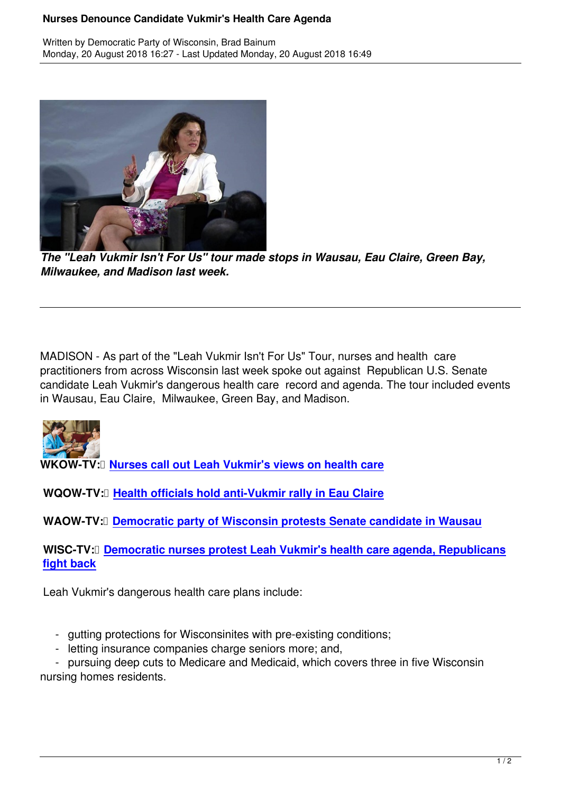

*The "Leah Vukmir Isn't For Us" tour made stops in Wausau, Eau Claire, Green Bay, Milwaukee, and Madison last week.*

MADISON - As part of the "Leah Vukmir Isn't For Us" Tour, nurses and health care practitioners from across Wisconsin last week spoke out against Republican U.S. Senate candidate Leah Vukmir's dangerous health care record and agenda. The tour included events in Wausau, Eau Claire, Milwaukee, Green Bay, and Madison.



**WKOW-TV: Nurses call out Leah Vukmir's views on health care**

**WQOW-TV: Health officials hold anti-Vukmir rally in Eau Claire**

**WAOW-TV: [Democratic party of Wisconsin protests Senate can](https://wisdems.us1.list-manage.com/track/click?u=5fdce0a26f89c28febc13998d&id=36203dfe0d&e=c8d9c6b5a0)didate in Wausau**

**WISC-TV: D[emocratic nurses protest Leah Vukmir's health care](https://wisdems.us1.list-manage.com/track/click?u=5fdce0a26f89c28febc13998d&id=2a33d9b88d&e=c8d9c6b5a0) agenda, Republicans fight back**

Leah Vukmi[r](https://wisdems.us1.list-manage.com/track/click?u=5fdce0a26f89c28febc13998d&id=5123d9a29a&e=c8d9c6b5a0)'[s dangerous health care plans include:](https://wisdems.us1.list-manage.com/track/click?u=5fdce0a26f89c28febc13998d&id=5123d9a29a&e=c8d9c6b5a0)

- gutting protections for Wisconsinites with pre-existing conditions;
- letting insurance companies charge seniors more; and,

 - pursuing deep cuts to Medicare and Medicaid, which covers three in five Wisconsin nursing homes residents.